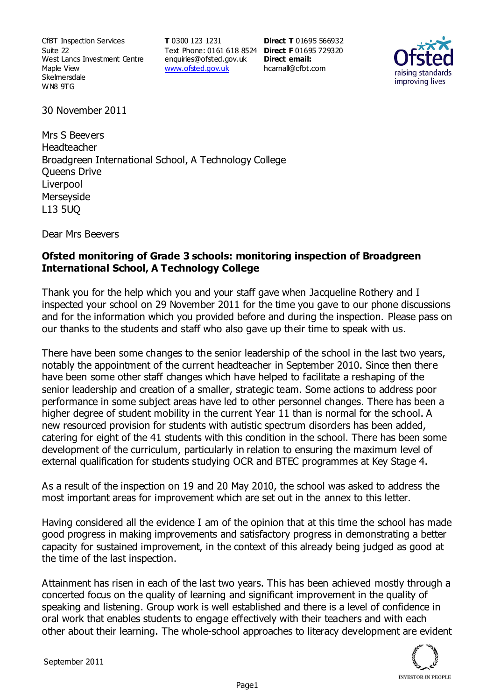CfBT Inspection Services Suite 22 West Lancs Investment Centre Maple View **Skelmersdale** WN8 9TG

**T** 0300 123 1231 Text Phone: 0161 618 8524 **Direct F** 01695 729320 enquiries@ofsted.gov.uk www.ofsted.gov.uk

**Direct T** 01695 566932 **Direct email:**  hcarnall@cfbt.com



30 November 2011

Mrs S Beevers Headteacher Broadgreen International School, A Technology College Queens Drive Liverpool **Merseyside** L13 5UQ

Dear Mrs Beevers

## **Ofsted monitoring of Grade 3 schools: monitoring inspection of Broadgreen International School, A Technology College**

Thank you for the help which you and your staff gave when Jacqueline Rothery and I inspected your school on 29 November 2011 for the time you gave to our phone discussions and for the information which you provided before and during the inspection. Please pass on our thanks to the students and staff who also gave up their time to speak with us.

There have been some changes to the senior leadership of the school in the last two years, notably the appointment of the current headteacher in September 2010. Since then there have been some other staff changes which have helped to facilitate a reshaping of the senior leadership and creation of a smaller, strategic team. Some actions to address poor performance in some subject areas have led to other personnel changes. There has been a higher degree of student mobility in the current Year 11 than is normal for the school. A new resourced provision for students with autistic spectrum disorders has been added, catering for eight of the 41 students with this condition in the school. There has been some development of the curriculum, particularly in relation to ensuring the maximum level of external qualification for students studying OCR and BTEC programmes at Key Stage 4.

As a result of the inspection on 19 and 20 May 2010, the school was asked to address the most important areas for improvement which are set out in the annex to this letter.

Having considered all the evidence I am of the opinion that at this time the school has made good progress in making improvements and satisfactory progress in demonstrating a better capacity for sustained improvement, in the context of this already being judged as good at the time of the last inspection.

Attainment has risen in each of the last two years. This has been achieved mostly through a concerted focus on the quality of learning and significant improvement in the quality of speaking and listening. Group work is well established and there is a level of confidence in oral work that enables students to engage effectively with their teachers and with each other about their learning. The whole-school approaches to literacy development are evident

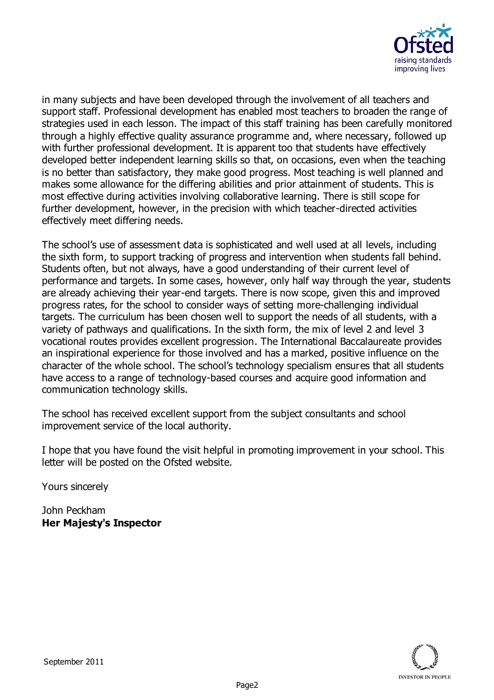

in many subjects and have been developed through the involvement of all teachers and support staff. Professional development has enabled most teachers to broaden the range of strategies used in each lesson. The impact of this staff training has been carefully monitored through a highly effective quality assurance programme and, where necessary, followed up with further professional development. It is apparent too that students have effectively developed better independent learning skills so that, on occasions, even when the teaching is no better than satisfactory, they make good progress. Most teaching is well planned and makes some allowance for the differing abilities and prior attainment of students. This is most effective during activities involving collaborative learning. There is still scope for further development, however, in the precision with which teacher-directed activities effectively meet differing needs.

The school's use of assessment data is sophisticated and well used at all levels, including the sixth form, to support tracking of progress and intervention when students fall behind. Students often, but not always, have a good understanding of their current level of performance and targets. In some cases, however, only half way through the year, students are already achieving their year-end targets. There is now scope, given this and improved progress rates, for the school to consider ways of setting more-challenging individual targets. The curriculum has been chosen well to support the needs of all students, with a variety of pathways and qualifications. In the sixth form, the mix of level 2 and level 3 vocational routes provides excellent progression. The International Baccalaureate provides an inspirational experience for those involved and has a marked, positive influence on the character of the whole school. The school's technology specialism ensures that all students have access to a range of technology-based courses and acquire good information and communication technology skills.

The school has received excellent support from the subject consultants and school improvement service of the local authority.

I hope that you have found the visit helpful in promoting improvement in your school. This letter will be posted on the Ofsted website.

Yours sincerely

John Peckham **Her Majesty's Inspector**